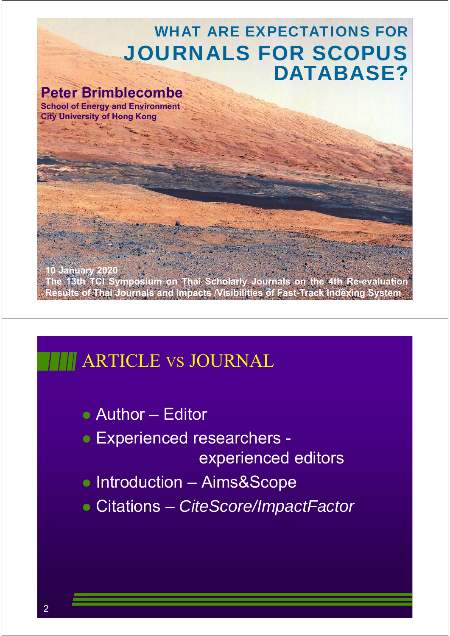### WHAT ARE EXPECTATIONS FOR JOURNALS FOR SCOPUS DATABASE?

#### **Peter Brimblecombe**

**School of Energy and Environment City University of Hong Kong**

1 **10 January 2020 The 13th TCI Symposium on Thai Scholarly Journals on the 4th Re-evaluation Results of Thai Journals and Impacts /Visibilities of Fast-Track Indexing System**

## **ARTICLE VS JOURNAL**

- Author Editor
- **Experienced researchers** experienced editors
- Introduction Aims&Scope
- Citations *CiteScore/ImpactFactor*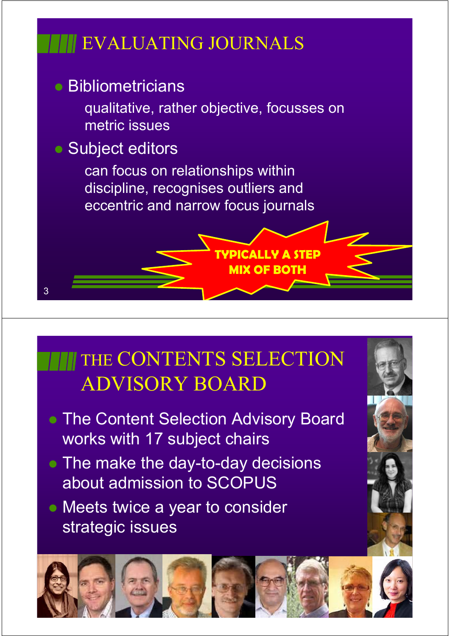# EVALUATING JOURNALS

## **• Bibliometricians**

qualitative, rather objective, focusses on metric issues

**TYPICALLY A STEP** 

**MIX OF BOTH**

### • Subject editors

3

can focus on relationships within discipline, recognises outliers and eccentric and narrow focus journals

# THE CONTENTS SELECTION ADVISORY BOARD

- **The Content Selection Advisory Board** works with 17 subject chairs
- The make the day-to-day decisions about admission to SCOPUS
- Meets twice a year to consider strategic issues

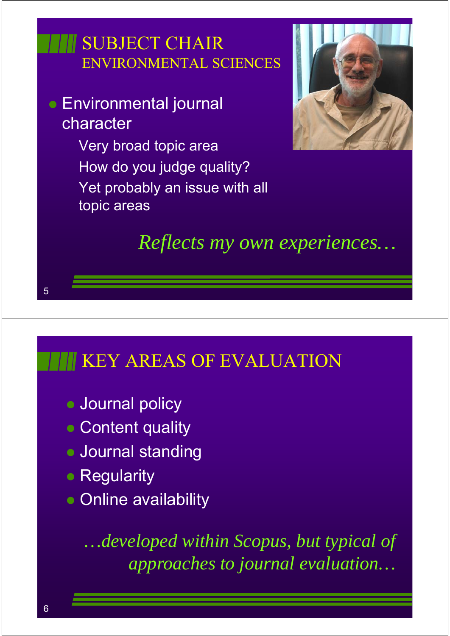# SUBJECT CHAIR ENVIRONMENTAL SCIENCES

- Environmental journal character
	- Very broad topic area How do you judge quality? Yet probably an issue with all topic areas



*Reflects my own experiences…*

## KEY AREAS OF EVALUATION

- **Journal policy**
- Content quality
- **Journal standing**
- Regularity
- Online availability

*…developed within Scopus, but typical of approaches to journal evaluation…*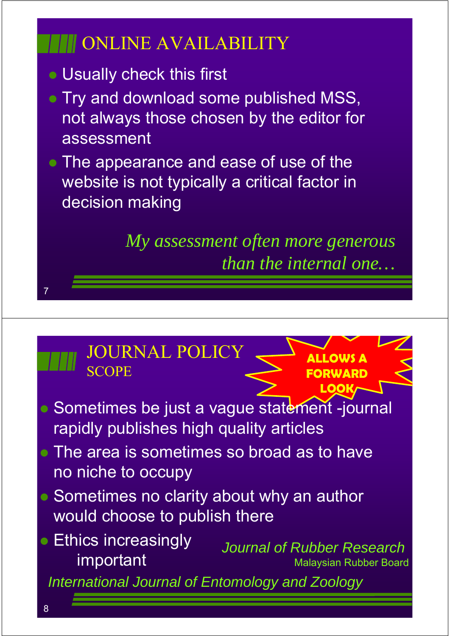# ONLINE AVAILABILITY

- Usually check this first
- Try and download some published MSS, not always those chosen by the editor for assessment
- The appearance and ease of use of the website is not typically a critical factor in decision making

*My assessment often more generous than the internal one…*

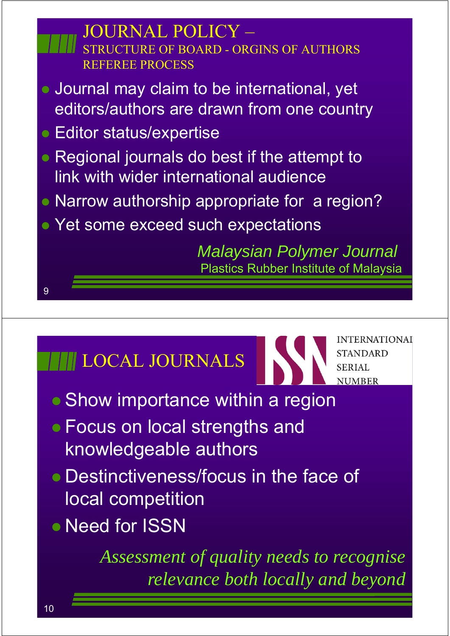

- Show importance within a region
- Focus on local strengths and knowledgeable authors
- Destinctiveness/focus in the face of local competition
- Need for ISSN

*Assessment of quality needs to recognise relevance both locally and beyond*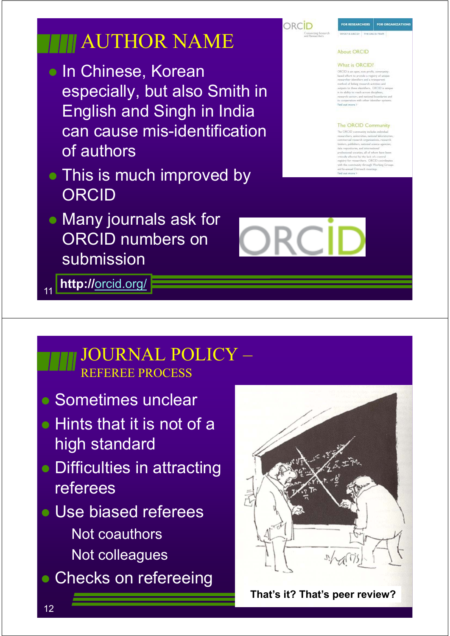# **THE AUTHOR NAME**

- **In Chinese, Korean** especially, but also Smith in English and Singh in India can cause mis-identification of authors
- This is much improved by **ORCID**
- Many journals ask for ORCID numbers on submission

11 **http://**orcid.org/

#### JOURNAL POLICY – REFEREE PROCESS

- Sometimes unclear
- **Hints that it is not of a** high standard
- Difficulties in attracting referees
- Use biased referees Not coauthors Not colleagues
- Checks on refereeing



**That's it? That's peer review?**

ORCID

FOR ORGANIZAT

#### About ORCID

**COR DECEARTMENT** 

#### What is ORCID!

.<br>XKCID is an open, non-profit, commu<br>assis effort its provide a registry of un ed of linking run

#### The ORCID Community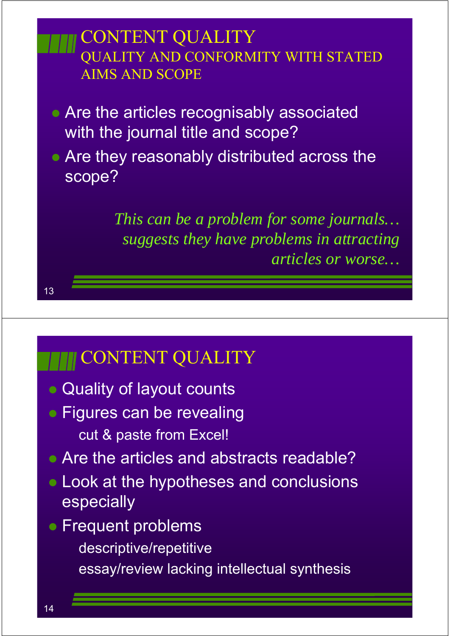

# **THE CONTENT QUALITY**

- Quality of layout counts
- Figures can be revealing cut & paste from Excel!
- Are the articles and abstracts readable?
- Look at the hypotheses and conclusions especially
- Frequent problems
	- descriptive/repetitive
	- essay/review lacking intellectual synthesis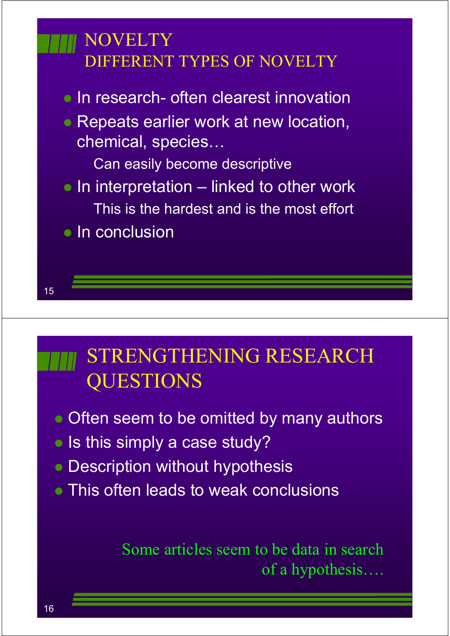# 15 **NOVELTY** DIFFERENT TYPES OF NOVELTY • In research- often clearest innovation • Repeats earlier work at new location, chemical, species… Can easily become descriptive  $\bullet$  In interpretation – linked to other work This is the hardest and is the most effort • In conclusion

# STRENGTHENING RESEARCH QUESTIONS

- Often seem to be omitted by many authors
- Is this simply a case study?
- Description without hypothesis
- This often leads to weak conclusions

Some articles seem to be data in search of a hypothesis….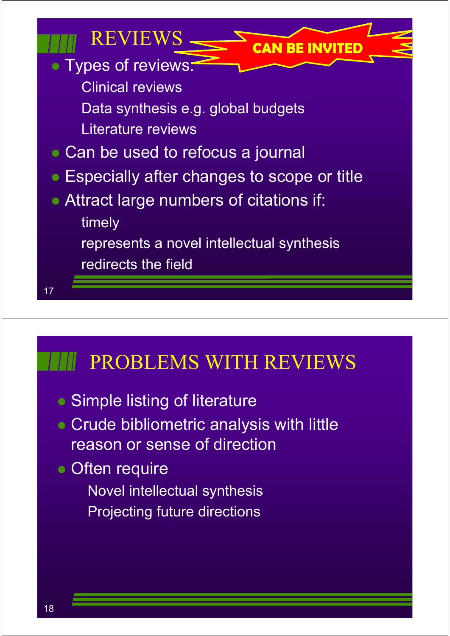

# PROBLEMS WITH REVIEWS

- Simple listing of literature
- Crude bibliometric analysis with little reason or sense of direction
- Often require Novel intellectual synthesis Projecting future directions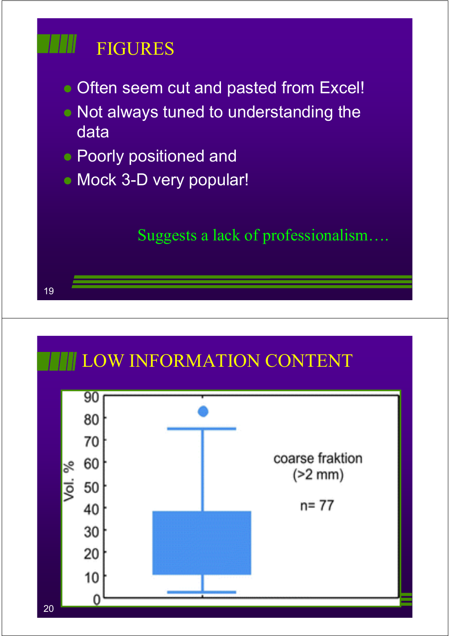# FIGURES

19

- Often seem cut and pasted from Excel!
- Not always tuned to understanding the data
- **Poorly positioned and**
- Mock 3-D very popular!

Suggests a lack of professionalism….

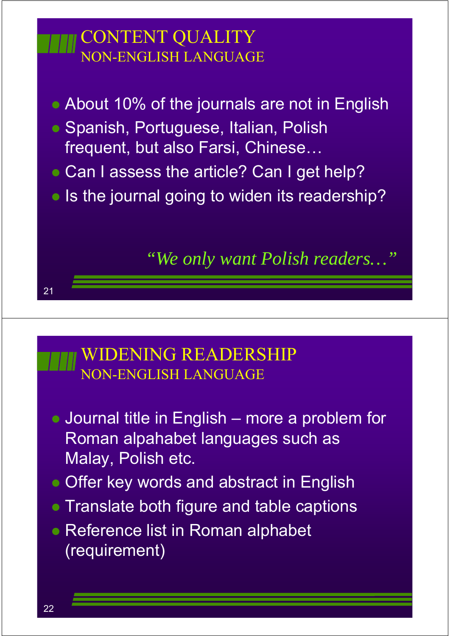# CONTENT QUALITY NON-ENGLISH LANGUAGE

- About 10% of the journals are not in English
- Spanish, Portuguese, Italian, Polish frequent, but also Farsi, Chinese…
- Can I assess the article? Can I get help?
- Is the journal going to widen its readership?

*"We only want Polish readers…"*

#### WIDENING READERSHIP NON-ENGLISH LANGUAGE

- Journal title in English more a problem for Roman alpahabet languages such as Malay, Polish etc.
- Offer key words and abstract in English
- Translate both figure and table captions
- Reference list in Roman alphabet (requirement)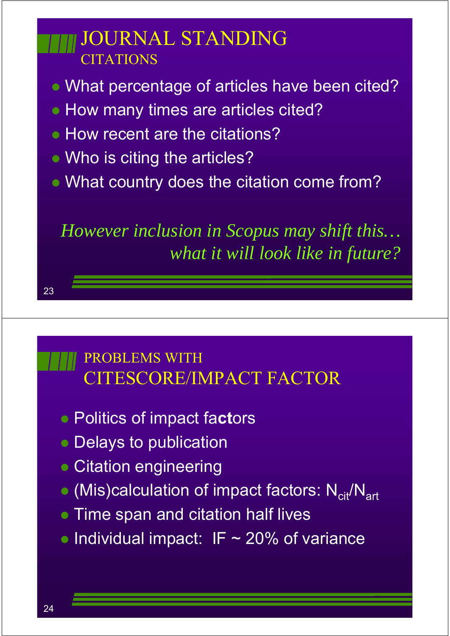# JOURNAL STANDING CITATIONS

- What percentage of articles have been cited?
- How many times are articles cited?
- How recent are the citations?
- Who is citing the articles?
- What country does the citation come from?

*However inclusion in Scopus may shift this… what it will look like in future?*

### PROBLEMS WITH CITESCORE/IMPACT FACTOR

- Politics of impact fa**ct**ors
- Delays to publication
- Citation engineering
- $\bullet$  (Mis)calculation of impact factors:  $N_{\text{crit}}/N_{\text{art}}$
- Time span and citation half lives
- $\bullet$  Individual impact: IF  $\sim$  20% of variance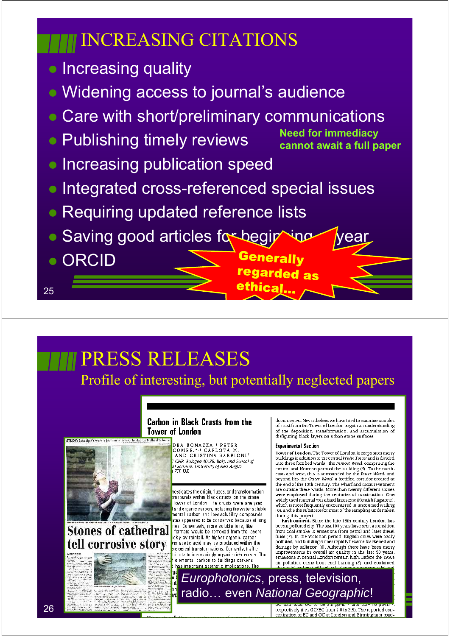

# PRESS RELEASES



### **Stones of cathedral** tell corrosive story

**Carbon in Black Crusts from the Tower of London** 

> .<br>DRA BONAZZA.† PETER<br>COMBE.\*∙\* CARLOTA M AND CRISTINA SABBIONI' The Carlo 1111 Mars 2012, 1996<br>In Sciences, University of East Anglia.<br>In Sciences, University of East Anglia.<br>TH, UK

Profile of interesting, but potentially neglected papers

estigates the origin, fluxes, and transformation moounds within black crusts on the stone Tower of London. The crusts were analyzed and organic carbon, including the water soluble nental carbon and low solubility compounds ates appeared to be conserved because of long nes. Conversely, more soluble ions, like formate would be removed from the layers ickly by rainfall. At higher organic carbon ns acetic acid may be produced within the iological transformations. Currently, traffic ribute to increasingly organic rich crusts. The<br>| elemental carbon to buildings darkens has important aesthetic implications. Th

documented. Nevertheless, we have tried to examine samples occurrence of London to gain an understanding<br>of the deposition, transformation, and accumulation of disfiguring black layers on urban stone surfaces

#### **Experimental Section**

Tower of London. The Tower of London incorporates many<br>buildings in addition to the central White Tower and is divided into three fortified wards: the Inmost Ward, comprising the central and Norman parts of the building (5). To the north. east, and west, this is surrounded by the Inner Ward, and beyond lies the Outer Ward, a fortified corridor created at<br>the end of the 13th century. The wharf and moat revement are outside these wards. More than twenty different stones<br>were employed during the centuries of construction. One widely used material was a hard linestone (Kentish Ragstone).<br>which is most frequently encountered in uncoursed walling (6), and is the substrate for most of the sampling undertaken during this project.

Environment. Since the late 13th century London has Environment: since the tate 15th century Echodor has<br>been a polluted city. The last 100 years have seen a transition been applicated to emissions from petrol and later diesel<br>from coal smoke to emissions from petrol and later diesel<br>fuels (7). In the Victorian period, English cities were badly<br>polluted, and building stones rapidly became emissions in central London remain high. Before the 1950s air pollution came from coal burning (3), and contained

*Europhotonics*, press, television, radio… even *National Geographic*!

respectively (i.e., OC/EC from 2.0 to 2.9). The reported concentration of EC and OC at London and Birmingham road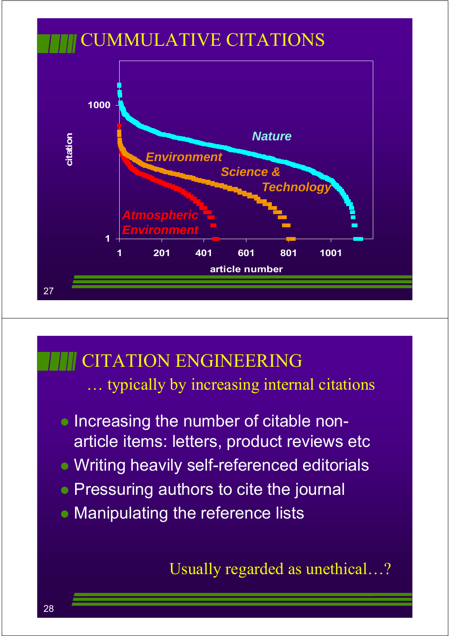

## CITATION ENGINEERING

… typically by increasing internal citations

- Increasing the number of citable nonarticle items: letters, product reviews etc
- Writing heavily self-referenced editorials
- Pressuring authors to cite the journal
- **Manipulating the reference lists**

Usually regarded as unethical…?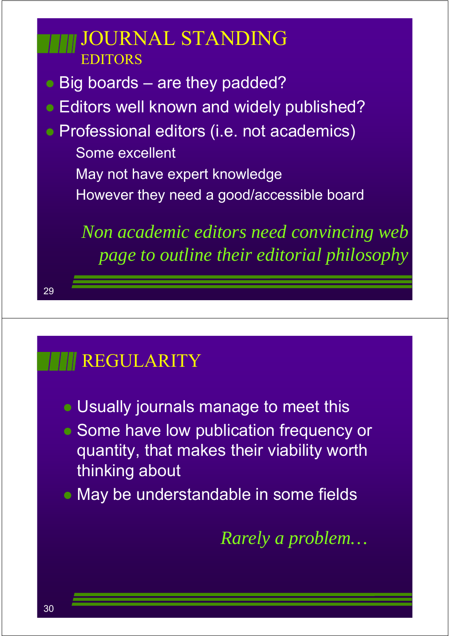# JOURNAL STANDING **EDITOR**

- Big boards are they padded?
- **Editors well known and widely published?**
- Professional editors (i.e. not academics) Some excellent
	- May not have expert knowledge
	- However they need a good/accessible board

*Non academic editors need convincing web page to outline their editorial philosophy*

# REGULARITY

- Usually journals manage to meet this
- Some have low publication frequency or quantity, that makes their viability worth thinking about
- May be understandable in some fields

*Rarely a problem…*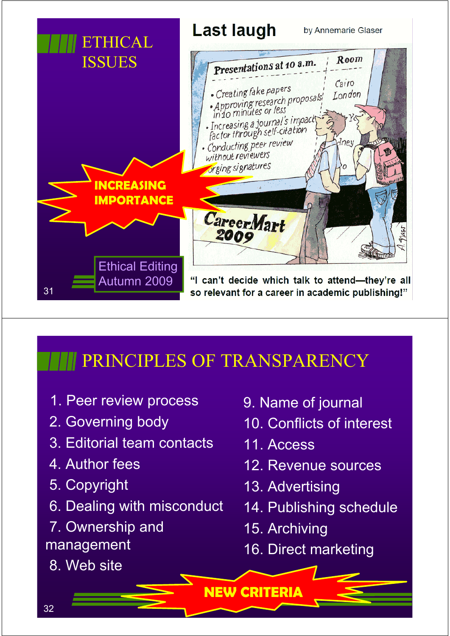

# PRINCIPLES OF TRANSPARENCY

- 1. Peer review process
- 2. Governing body
- 3. Editorial team contacts
- 4. Author fees
- 5. Copyright
- 6. Dealing with misconduct
- 7. Ownership and management
- 8. Web site
- 9. Name of journal
- 10. Conflicts of interest
- 11. Access
- 12. Revenue sources
- 13. Advertising
- 14. Publishing schedule
- 15. Archiving
- 16. Direct marketing

**NEW CRITERIA**